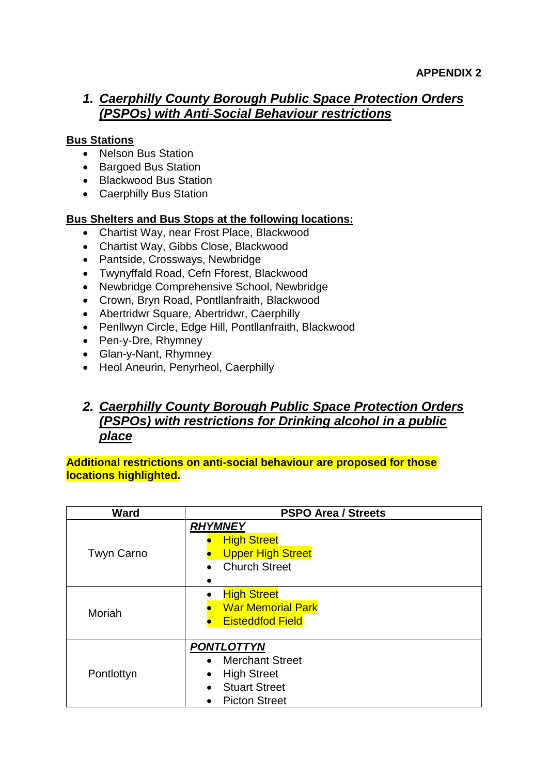### *1. Caerphilly County Borough Public Space Protection Orders (PSPOs) with Anti-Social Behaviour restrictions*

#### **Bus Stations**

- Nelson Bus Station
- Bargoed Bus Station
- Blackwood Bus Station
- Caerphilly Bus Station

#### **Bus Shelters and Bus Stops at the following locations:**

- Chartist Way, near Frost Place, Blackwood
- Chartist Way, Gibbs Close, Blackwood
- Pantside, Crossways, Newbridge
- Twynyffald Road, Cefn Fforest, Blackwood
- Newbridge Comprehensive School, Newbridge
- Crown, Bryn Road, Pontllanfraith, Blackwood
- Abertridwr Square, Abertridwr, Caerphilly
- Penllwyn Circle, Edge Hill, Pontllanfraith, Blackwood
- Pen-y-Dre, Rhymney
- Glan-y-Nant, Rhymney
- Heol Aneurin, Penyrheol, Caerphilly

## *2. Caerphilly County Borough Public Space Protection Orders (PSPOs) with restrictions for Drinking alcohol in a public place*

**Additional restrictions on anti-social behaviour are proposed for those locations highlighted.**

| Ward              | <b>PSPO Area / Streets</b>          |  |
|-------------------|-------------------------------------|--|
|                   | <b>RHYMNEY</b>                      |  |
|                   | <b>High Street</b>                  |  |
| <b>Twyn Carno</b> | <b>Upper High Street</b>            |  |
|                   | <b>Church Street</b>                |  |
|                   |                                     |  |
|                   | <b>High Street</b>                  |  |
| Moriah            | <b>War Memorial Park</b>            |  |
|                   | <b>Eisteddfod Field</b>             |  |
|                   |                                     |  |
|                   | <b>PONTLOTTYN</b>                   |  |
|                   | <b>Merchant Street</b><br>$\bullet$ |  |
| Pontlottyn        | <b>High Street</b><br>$\bullet$     |  |
|                   | <b>Stuart Street</b>                |  |
|                   | <b>Picton Street</b>                |  |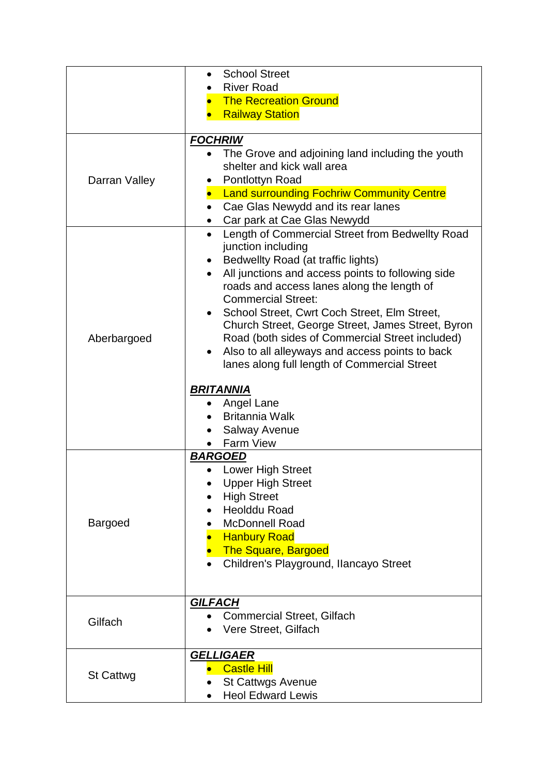|                  | <b>School Street</b><br>$\bullet$                                                                              |  |  |
|------------------|----------------------------------------------------------------------------------------------------------------|--|--|
|                  | <b>River Road</b>                                                                                              |  |  |
|                  | <b>The Recreation Ground</b>                                                                                   |  |  |
|                  | <b>Railway Station</b>                                                                                         |  |  |
|                  |                                                                                                                |  |  |
|                  | <b>FOCHRIW</b>                                                                                                 |  |  |
|                  | The Grove and adjoining land including the youth                                                               |  |  |
|                  | shelter and kick wall area                                                                                     |  |  |
| Darran Valley    | Pontlottyn Road                                                                                                |  |  |
|                  | • Land surrounding Fochriw Community Centre                                                                    |  |  |
|                  | Cae Glas Newydd and its rear lanes                                                                             |  |  |
|                  | Car park at Cae Glas Newydd                                                                                    |  |  |
|                  | Length of Commercial Street from Bedwellty Road<br>$\bullet$                                                   |  |  |
|                  | junction including                                                                                             |  |  |
|                  | Bedwellty Road (at traffic lights)<br>$\bullet$                                                                |  |  |
|                  | All junctions and access points to following side<br>$\bullet$                                                 |  |  |
|                  | roads and access lanes along the length of                                                                     |  |  |
|                  | <b>Commercial Street:</b>                                                                                      |  |  |
|                  | School Street, Cwrt Coch Street, Elm Street,<br>$\bullet$<br>Church Street, George Street, James Street, Byron |  |  |
| Aberbargoed      | Road (both sides of Commercial Street included)                                                                |  |  |
|                  | Also to all alleyways and access points to back                                                                |  |  |
|                  | lanes along full length of Commercial Street                                                                   |  |  |
|                  |                                                                                                                |  |  |
|                  | <u>BRITANNIA</u>                                                                                               |  |  |
|                  | Angel Lane                                                                                                     |  |  |
|                  | <b>Britannia Walk</b>                                                                                          |  |  |
|                  | <b>Salway Avenue</b>                                                                                           |  |  |
|                  | <b>Farm View</b>                                                                                               |  |  |
|                  | <b>BARGOED</b>                                                                                                 |  |  |
|                  | <b>Lower High Street</b>                                                                                       |  |  |
|                  | <b>Upper High Street</b>                                                                                       |  |  |
|                  | <b>High Street</b>                                                                                             |  |  |
|                  | <b>Heolddu Road</b>                                                                                            |  |  |
| <b>Bargoed</b>   | <b>McDonnell Road</b>                                                                                          |  |  |
|                  | <b>Hanbury Road</b>                                                                                            |  |  |
|                  | <b>The Square, Bargoed</b>                                                                                     |  |  |
|                  | Children's Playground, Ilancayo Street                                                                         |  |  |
|                  |                                                                                                                |  |  |
|                  | <b>GILFACH</b>                                                                                                 |  |  |
| Gilfach          | <b>Commercial Street, Gilfach</b>                                                                              |  |  |
|                  | Vere Street, Gilfach                                                                                           |  |  |
|                  |                                                                                                                |  |  |
|                  | <b>GELLIGAER</b>                                                                                               |  |  |
|                  | <b>Castle Hill</b>                                                                                             |  |  |
| <b>St Cattwg</b> | <b>St Cattwgs Avenue</b>                                                                                       |  |  |
|                  | <b>Heol Edward Lewis</b>                                                                                       |  |  |
|                  |                                                                                                                |  |  |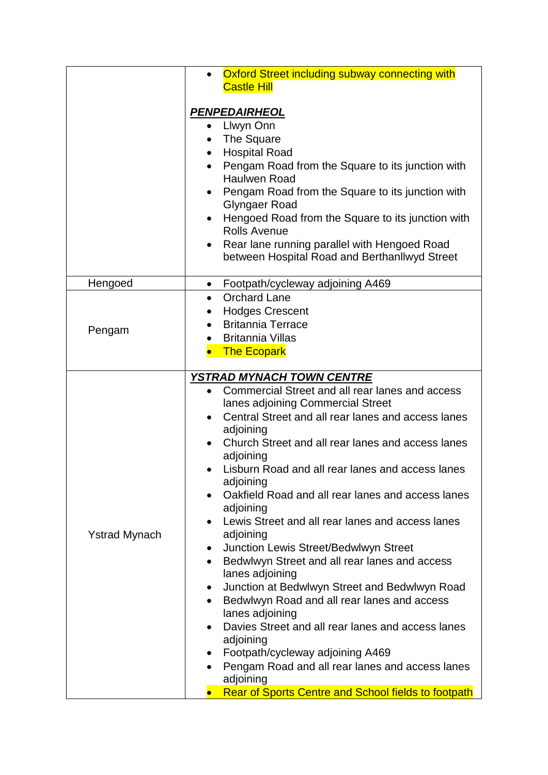|                      | Oxford Street including subway connecting with                                                                                                                                                                                                                                                                                                                                                                                                                                                                                                                                                                                                                                                                                                                                                                                                                                              |  |  |
|----------------------|---------------------------------------------------------------------------------------------------------------------------------------------------------------------------------------------------------------------------------------------------------------------------------------------------------------------------------------------------------------------------------------------------------------------------------------------------------------------------------------------------------------------------------------------------------------------------------------------------------------------------------------------------------------------------------------------------------------------------------------------------------------------------------------------------------------------------------------------------------------------------------------------|--|--|
|                      | <b>Castle Hill</b>                                                                                                                                                                                                                                                                                                                                                                                                                                                                                                                                                                                                                                                                                                                                                                                                                                                                          |  |  |
|                      | <b>PENPEDAIRHEOL</b><br>Llwyn Onn<br>The Square<br><b>Hospital Road</b><br>Pengam Road from the Square to its junction with<br><b>Haulwen Road</b><br>Pengam Road from the Square to its junction with<br>Glyngaer Road<br>Hengoed Road from the Square to its junction with<br><b>Rolls Avenue</b><br>Rear lane running parallel with Hengoed Road<br>$\bullet$<br>between Hospital Road and Berthanllwyd Street                                                                                                                                                                                                                                                                                                                                                                                                                                                                           |  |  |
| Hengoed              | Footpath/cycleway adjoining A469<br>$\bullet$                                                                                                                                                                                                                                                                                                                                                                                                                                                                                                                                                                                                                                                                                                                                                                                                                                               |  |  |
| Pengam               | <b>Orchard Lane</b><br>$\bullet$<br><b>Hodges Crescent</b><br><b>Britannia Terrace</b><br><b>Britannia Villas</b><br><b>The Ecopark</b>                                                                                                                                                                                                                                                                                                                                                                                                                                                                                                                                                                                                                                                                                                                                                     |  |  |
| <b>Ystrad Mynach</b> | <b>YSTRAD MYNACH TOWN CENTRE</b><br>Commercial Street and all rear lanes and access<br>lanes adjoining Commercial Street<br>Central Street and all rear lanes and access lanes<br>adjoining<br>Church Street and all rear lanes and access lanes<br>adjoining<br>Lisburn Road and all rear lanes and access lanes<br>adjoining<br>Oakfield Road and all rear lanes and access lanes<br>adjoining<br>Lewis Street and all rear lanes and access lanes<br>adjoining<br><b>Junction Lewis Street/Bedwlwyn Street</b><br>$\bullet$<br>Bedwlwyn Street and all rear lanes and access<br>lanes adjoining<br>Junction at Bedwlwyn Street and Bedwlwyn Road<br>Bedwlwyn Road and all rear lanes and access<br>lanes adjoining<br>Davies Street and all rear lanes and access lanes<br>adjoining<br>Footpath/cycleway adjoining A469<br>Pengam Road and all rear lanes and access lanes<br>adjoining |  |  |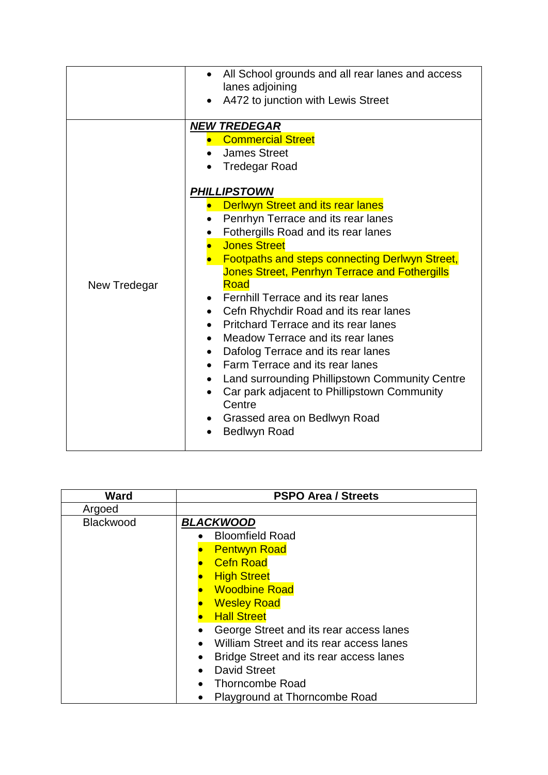|              | All School grounds and all rear lanes and access<br>lanes adjoining<br>A472 to junction with Lewis Street                                                                                                                                                                                                                                                                                                                                                                                                                                                                                                                                                                                                                                                                                                             |
|--------------|-----------------------------------------------------------------------------------------------------------------------------------------------------------------------------------------------------------------------------------------------------------------------------------------------------------------------------------------------------------------------------------------------------------------------------------------------------------------------------------------------------------------------------------------------------------------------------------------------------------------------------------------------------------------------------------------------------------------------------------------------------------------------------------------------------------------------|
| New Tredegar | <b>NEW TREDEGAR</b><br>• Commercial Street<br><b>James Street</b><br><b>Tredegar Road</b><br><b>PHILLIPSTOWN</b><br><b>Derlwyn Street and its rear lanes</b><br>Penrhyn Terrace and its rear lanes<br>Fothergills Road and its rear lanes<br><b>Jones Street</b><br><b>Footpaths and steps connecting Derlwyn Street,</b><br><b>Jones Street, Penrhyn Terrace and Fothergills</b><br>Road<br><b>Fernhill Terrace and its rear lanes</b><br>Cefn Rhychdir Road and its rear lanes<br>$\bullet$<br><b>Pritchard Terrace and its rear lanes</b><br>Meadow Terrace and its rear lanes<br>Dafolog Terrace and its rear lanes<br>Farm Terrace and its rear lanes<br>Land surrounding Phillipstown Community Centre<br>Car park adjacent to Phillipstown Community<br>Centre<br>Grassed area on Bedlwyn Road<br>Bedlwyn Road |

| Ward      | <b>PSPO Area / Streets</b>                                                                                                                                                                                                                                                                                                                            |  |  |  |
|-----------|-------------------------------------------------------------------------------------------------------------------------------------------------------------------------------------------------------------------------------------------------------------------------------------------------------------------------------------------------------|--|--|--|
| Argoed    |                                                                                                                                                                                                                                                                                                                                                       |  |  |  |
| Blackwood | <b>BLACKWOOD</b><br><b>Bloomfield Road</b>                                                                                                                                                                                                                                                                                                            |  |  |  |
|           | <b>Pentwyn Road</b><br><b>Cefn Road</b><br><b>High Street</b><br><b>Woodbine Road</b><br><b>Wesley Road</b><br><b>Hall Street</b><br>George Street and its rear access lanes<br>William Street and its rear access lanes<br>Bridge Street and its rear access lanes<br><b>David Street</b><br><b>Thorncombe Road</b><br>Playground at Thorncombe Road |  |  |  |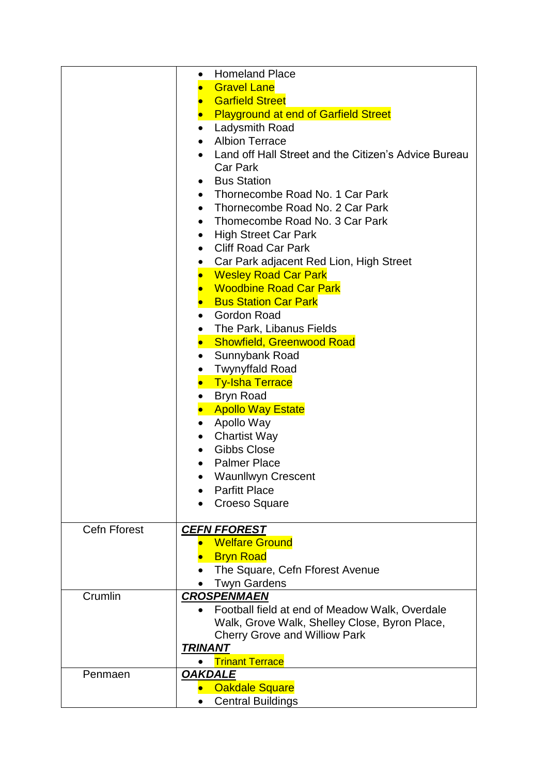|                     | <b>Homeland Place</b><br>$\bullet$                   |  |  |
|---------------------|------------------------------------------------------|--|--|
|                     | <b>Gravel Lane</b>                                   |  |  |
|                     | <b>Garfield Street</b><br>$\bullet$                  |  |  |
|                     | <b>Playground at end of Garfield Street</b>          |  |  |
|                     | Ladysmith Road<br>$\bullet$                          |  |  |
|                     | <b>Albion Terrace</b><br>$\bullet$                   |  |  |
|                     | Land off Hall Street and the Citizen's Advice Bureau |  |  |
|                     | Car Park                                             |  |  |
|                     | <b>Bus Station</b><br>$\bullet$                      |  |  |
|                     | Thornecombe Road No. 1 Car Park                      |  |  |
|                     | $\bullet$<br>Thornecombe Road No. 2 Car Park         |  |  |
|                     | $\bullet$<br>Thomecombe Road No. 3 Car Park          |  |  |
|                     | $\bullet$                                            |  |  |
|                     | <b>High Street Car Park</b><br>$\bullet$             |  |  |
|                     | <b>Cliff Road Car Park</b><br>$\bullet$              |  |  |
|                     | Car Park adjacent Red Lion, High Street<br>$\bullet$ |  |  |
|                     | <b>Wesley Road Car Park</b>                          |  |  |
|                     | <b>Woodbine Road Car Park</b>                        |  |  |
|                     | <b>Bus Station Car Park</b>                          |  |  |
|                     | <b>Gordon Road</b><br>$\bullet$                      |  |  |
|                     | The Park, Libanus Fields                             |  |  |
|                     | <b>Showfield, Greenwood Road</b><br>$\bullet$        |  |  |
|                     | Sunnybank Road<br>$\bullet$                          |  |  |
|                     | <b>Twynyffald Road</b>                               |  |  |
|                     | <b>Ty-Isha Terrace</b><br>$\bullet$                  |  |  |
|                     | <b>Bryn Road</b>                                     |  |  |
|                     | <b>Apollo Way Estate</b>                             |  |  |
|                     | Apollo Way<br>$\bullet$                              |  |  |
|                     | <b>Chartist Way</b><br>$\bullet$                     |  |  |
|                     | Gibbs Close<br>$\bullet$                             |  |  |
|                     | <b>Palmer Place</b>                                  |  |  |
|                     | <b>Waunllwyn Crescent</b>                            |  |  |
|                     | <b>Parfitt Place</b>                                 |  |  |
|                     | <b>Croeso Square</b>                                 |  |  |
|                     |                                                      |  |  |
| <b>Cefn Fforest</b> | <b>CEFN FFOREST</b>                                  |  |  |
|                     | <b>Welfare Ground</b>                                |  |  |
|                     | <b>Bryn Road</b>                                     |  |  |
|                     | The Square, Cefn Fforest Avenue                      |  |  |
|                     | <b>Twyn Gardens</b>                                  |  |  |
| Crumlin             | <b>CROSPENMAEN</b>                                   |  |  |
|                     | Football field at end of Meadow Walk, Overdale       |  |  |
|                     | Walk, Grove Walk, Shelley Close, Byron Place,        |  |  |
|                     | <b>Cherry Grove and Williow Park</b>                 |  |  |
|                     | <b>TRINANT</b>                                       |  |  |
|                     | <b>Trinant Terrace</b>                               |  |  |
| Penmaen             | <b>OAKDALE</b>                                       |  |  |
|                     | <b>Oakdale Square</b>                                |  |  |
|                     | <b>Central Buildings</b>                             |  |  |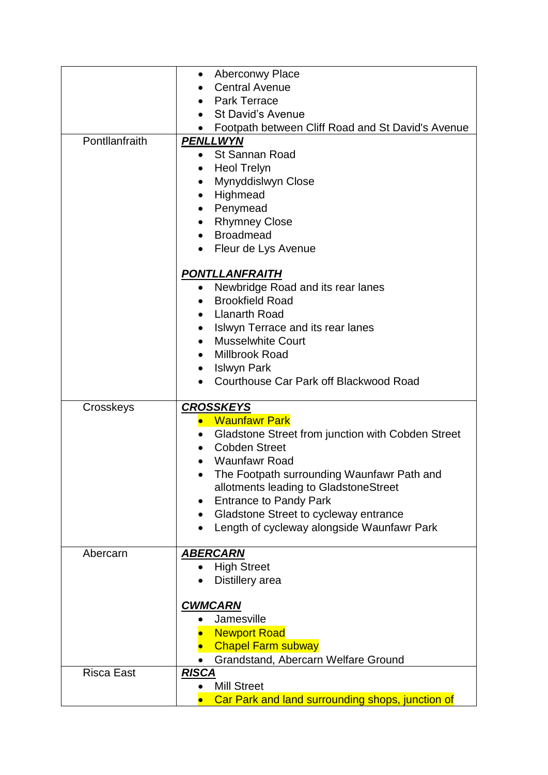|                   | <b>Aberconwy Place</b><br>$\bullet$                     |  |  |  |
|-------------------|---------------------------------------------------------|--|--|--|
|                   | <b>Central Avenue</b>                                   |  |  |  |
|                   | <b>Park Terrace</b><br>$\bullet$                        |  |  |  |
|                   | <b>St David's Avenue</b><br>$\bullet$                   |  |  |  |
|                   | Footpath between Cliff Road and St David's Avenue       |  |  |  |
| Pontllanfraith    | <b>PENLLWYN</b>                                         |  |  |  |
|                   | <b>St Sannan Road</b><br>$\bullet$                      |  |  |  |
|                   | <b>Heol Trelyn</b><br>۰                                 |  |  |  |
|                   | Mynyddislwyn Close                                      |  |  |  |
|                   | Highmead<br>$\bullet$                                   |  |  |  |
|                   | Penymead<br>$\bullet$                                   |  |  |  |
|                   | <b>Rhymney Close</b>                                    |  |  |  |
|                   | <b>Broadmead</b><br>$\bullet$                           |  |  |  |
|                   | Fleur de Lys Avenue                                     |  |  |  |
|                   | <b>PONTLLANFRAITH</b>                                   |  |  |  |
|                   | Newbridge Road and its rear lanes<br>$\bullet$          |  |  |  |
|                   | <b>Brookfield Road</b><br>$\bullet$                     |  |  |  |
|                   | <b>Llanarth Road</b>                                    |  |  |  |
|                   | Islwyn Terrace and its rear lanes                       |  |  |  |
|                   | <b>Musselwhite Court</b><br>$\bullet$                   |  |  |  |
|                   | Millbrook Road<br>$\bullet$                             |  |  |  |
|                   | <b>Islwyn Park</b><br>$\bullet$                         |  |  |  |
|                   | Courthouse Car Park off Blackwood Road                  |  |  |  |
| Crosskeys         | <b>CROSSKEYS</b>                                        |  |  |  |
|                   | <b>Waunfawr Park</b>                                    |  |  |  |
|                   | Gladstone Street from junction with Cobden Street       |  |  |  |
|                   | <b>Cobden Street</b>                                    |  |  |  |
|                   | <b>Waunfawr Road</b>                                    |  |  |  |
|                   | The Footpath surrounding Waunfawr Path and              |  |  |  |
|                   | allotments leading to GladstoneStreet                   |  |  |  |
|                   | <b>Entrance to Pandy Park</b>                           |  |  |  |
|                   | Gladstone Street to cycleway entrance                   |  |  |  |
|                   | Length of cycleway alongside Waunfawr Park<br>$\bullet$ |  |  |  |
| Abercarn          | <b>ABERCARN</b>                                         |  |  |  |
|                   | <b>High Street</b>                                      |  |  |  |
|                   | Distillery area                                         |  |  |  |
|                   |                                                         |  |  |  |
|                   | <b>CWMCARN</b><br>Jamesville                            |  |  |  |
|                   | <b>Newport Road</b>                                     |  |  |  |
|                   | <b>Chapel Farm subway</b>                               |  |  |  |
|                   | Grandstand, Abercarn Welfare Ground                     |  |  |  |
| <b>Risca East</b> | <b>RISCA</b>                                            |  |  |  |
|                   | <b>Mill Street</b>                                      |  |  |  |
|                   |                                                         |  |  |  |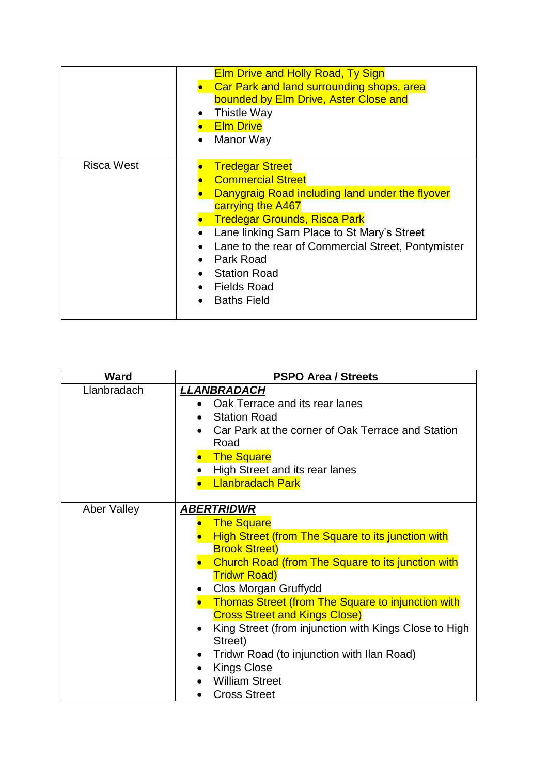|                   | <b>Elm Drive and Holly Road, Ty Sign</b><br>Car Park and land surrounding shops, area<br>bounded by Elm Drive, Aster Close and<br>Thistle Way<br><b>Elm Drive</b><br>Manor Way                                                                                                                                                                         |
|-------------------|--------------------------------------------------------------------------------------------------------------------------------------------------------------------------------------------------------------------------------------------------------------------------------------------------------------------------------------------------------|
| <b>Risca West</b> | <b>Tredegar Street</b><br><b>Commercial Street</b><br>Danygraig Road including land under the flyover<br>carrying the A467<br><b>Tredegar Grounds, Risca Park</b><br>Lane linking Sarn Place to St Mary's Street<br>Lane to the rear of Commercial Street, Pontymister<br>Park Road<br><b>Station Road</b><br><b>Fields Road</b><br><b>Baths Field</b> |

| <b>Ward</b> | <b>PSPO Area / Streets</b>                                                                                                                                                                                                                                                                                                                                                                                                                                                                                       |  |  |
|-------------|------------------------------------------------------------------------------------------------------------------------------------------------------------------------------------------------------------------------------------------------------------------------------------------------------------------------------------------------------------------------------------------------------------------------------------------------------------------------------------------------------------------|--|--|
| Llanbradach | LLANBRADACH<br>Oak Terrace and its rear lanes<br><b>Station Road</b><br>Car Park at the corner of Oak Terrace and Station<br>Road<br><b>The Square</b><br>High Street and its rear lanes<br><b>Llanbradach Park</b>                                                                                                                                                                                                                                                                                              |  |  |
| Aber Valley | <u>ABERTRIDWR</u><br><b>The Square</b><br><b>High Street (from The Square to its junction with</b><br><b>Brook Street)</b><br>Church Road (from The Square to its junction with<br><b>Tridwr Road)</b><br>Clos Morgan Gruffydd<br><b>Thomas Street (from The Square to injunction with</b><br><b>Cross Street and Kings Close)</b><br>King Street (from injunction with Kings Close to High<br>Street)<br>Tridwr Road (to injunction with Ilan Road)<br>$\bullet$<br><b>Kings Close</b><br><b>William Street</b> |  |  |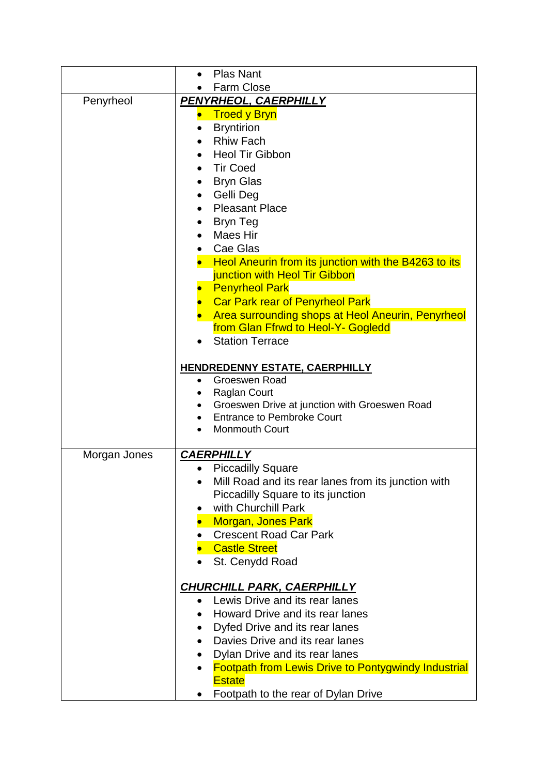|              | <b>Plas Nant</b>                                                                        |  |  |  |
|--------------|-----------------------------------------------------------------------------------------|--|--|--|
|              | Farm Close                                                                              |  |  |  |
| Penyrheol    | PENYRHEOL, CAERPHILLY                                                                   |  |  |  |
|              | <b>Troed y Bryn</b>                                                                     |  |  |  |
|              | <b>Bryntirion</b>                                                                       |  |  |  |
|              | <b>Rhiw Fach</b>                                                                        |  |  |  |
|              | <b>Heol Tir Gibbon</b>                                                                  |  |  |  |
|              | <b>Tir Coed</b>                                                                         |  |  |  |
|              | <b>Bryn Glas</b>                                                                        |  |  |  |
|              | Gelli Deg                                                                               |  |  |  |
|              | <b>Pleasant Place</b><br>$\bullet$                                                      |  |  |  |
|              | <b>Bryn Teg</b>                                                                         |  |  |  |
|              | Maes Hir                                                                                |  |  |  |
|              | Cae Glas                                                                                |  |  |  |
|              | Heol Aneurin from its junction with the B4263 to its                                    |  |  |  |
|              | junction with Heol Tir Gibbon                                                           |  |  |  |
|              | <b>Penyrheol Park</b>                                                                   |  |  |  |
|              | <b>Car Park rear of Penyrheol Park</b>                                                  |  |  |  |
|              | Area surrounding shops at Heol Aneurin, Penyrheol<br>from Glan Ffrwd to Heol-Y- Gogledd |  |  |  |
|              | <b>Station Terrace</b>                                                                  |  |  |  |
|              |                                                                                         |  |  |  |
|              | <b>HENDREDENNY ESTATE, CAERPHILLY</b>                                                   |  |  |  |
|              | Groeswen Road                                                                           |  |  |  |
|              | <b>Raglan Court</b>                                                                     |  |  |  |
|              | Groeswen Drive at junction with Groeswen Road<br><b>Entrance to Pembroke Court</b>      |  |  |  |
|              | <b>Monmouth Court</b>                                                                   |  |  |  |
|              |                                                                                         |  |  |  |
| Morgan Jones | <b>CAERPHILLY</b>                                                                       |  |  |  |
|              | <b>Piccadilly Square</b>                                                                |  |  |  |
|              | Mill Road and its rear lanes from its junction with                                     |  |  |  |
|              | Piccadilly Square to its junction                                                       |  |  |  |
|              | with Churchill Park                                                                     |  |  |  |
|              | <b>Morgan, Jones Park</b>                                                               |  |  |  |
|              | <b>Crescent Road Car Park</b>                                                           |  |  |  |
|              | <b>Castle Street</b>                                                                    |  |  |  |
|              | St. Cenydd Road                                                                         |  |  |  |
|              |                                                                                         |  |  |  |
|              | <b>CHURCHILL PARK, CAERPHILLY</b>                                                       |  |  |  |
|              | Lewis Drive and its rear lanes<br>Howard Drive and its rear lanes                       |  |  |  |
|              | Dyfed Drive and its rear lanes                                                          |  |  |  |
|              | Davies Drive and its rear lanes                                                         |  |  |  |
|              | Dylan Drive and its rear lanes<br>$\bullet$                                             |  |  |  |
|              | <b>Footpath from Lewis Drive to Pontygwindy Industrial</b>                              |  |  |  |
|              | <b>Estate</b>                                                                           |  |  |  |
|              | Footpath to the rear of Dylan Drive                                                     |  |  |  |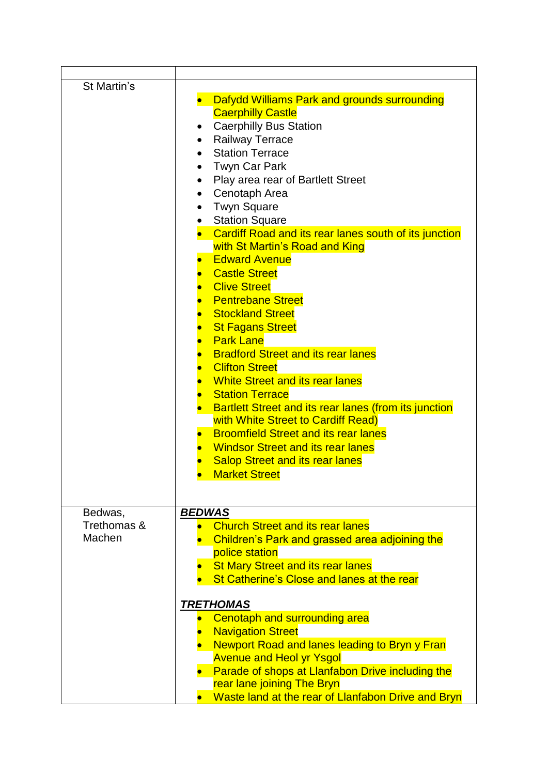| St Martin's                      | Dafydd Williams Park and grounds surrounding<br><b>Caerphilly Castle</b><br><b>Caerphilly Bus Station</b><br>Railway Terrace<br><b>Station Terrace</b><br><b>Twyn Car Park</b><br>Play area rear of Bartlett Street<br>Cenotaph Area<br><b>Twyn Square</b><br><b>Station Square</b><br>Cardiff Road and its rear lanes south of its junction<br>with St Martin's Road and King<br><b>Edward Avenue</b><br><b>Castle Street</b><br><b>Clive Street</b><br><b>Pentrebane Street</b><br><b>Stockland Street</b><br><b>St Fagans Street</b><br><b>Park Lane</b><br><b>Bradford Street and its rear lanes</b><br><b>Clifton Street</b><br><b>White Street and its rear lanes</b><br><b>Station Terrace</b><br>Bartlett Street and its rear lanes (from its junction<br>with White Street to Cardiff Read)<br><b>Broomfield Street and its rear lanes</b><br><b>Windsor Street and its rear lanes</b><br><b>Salop Street and its rear lanes</b><br><b>Market Street</b> |
|----------------------------------|-------------------------------------------------------------------------------------------------------------------------------------------------------------------------------------------------------------------------------------------------------------------------------------------------------------------------------------------------------------------------------------------------------------------------------------------------------------------------------------------------------------------------------------------------------------------------------------------------------------------------------------------------------------------------------------------------------------------------------------------------------------------------------------------------------------------------------------------------------------------------------------------------------------------------------------------------------------------|
| Bedwas,<br>Trethomas &<br>Machen | <b>BEDWAS</b><br><b>Church Street and its rear lanes</b><br><b>Children's Park and grassed area adjoining the</b><br>police station<br><b>St Mary Street and its rear lanes</b><br>St Catherine's Close and lanes at the rear<br><b>TRETHOMAS</b><br>Cenotaph and surrounding area<br><b>Navigation Street</b><br><b>Newport Road and lanes leading to Bryn y Fran</b><br><b>Avenue and Heol yr Ysgol</b><br>• Parade of shops at Llanfabon Drive including the<br>rear lane joining The Bryn<br>Waste land at the rear of Llanfabon Drive and Bryn                                                                                                                                                                                                                                                                                                                                                                                                               |